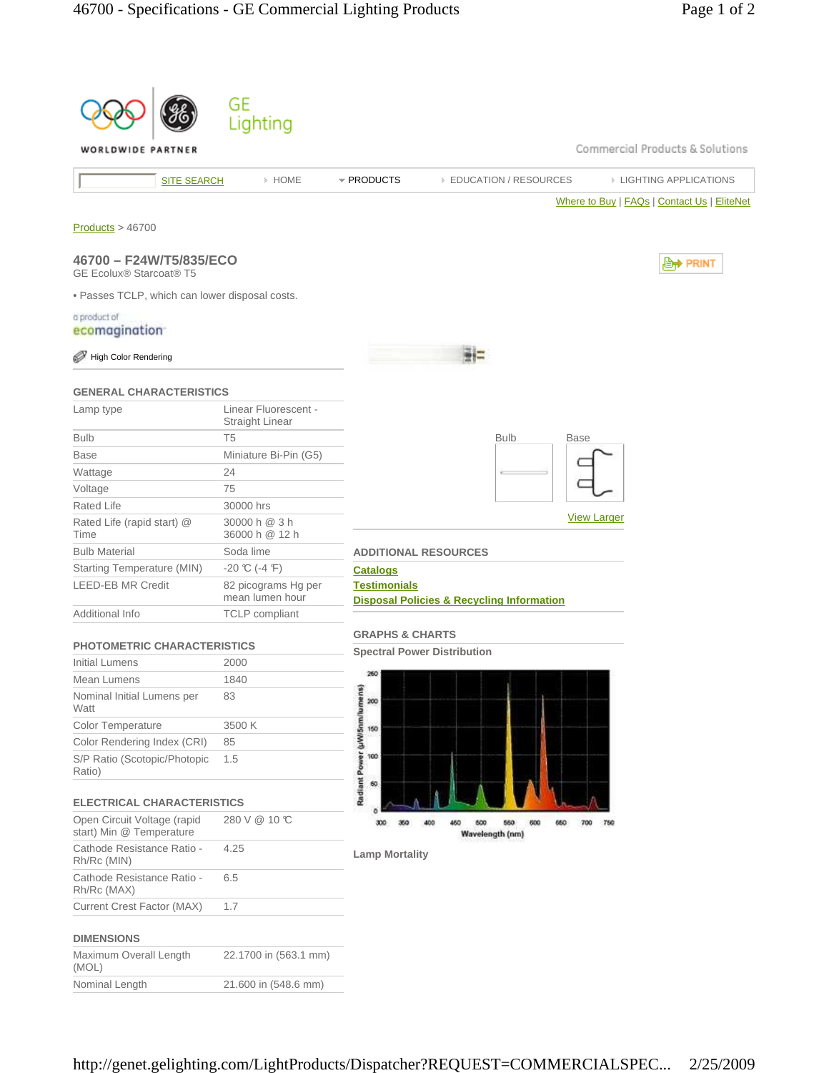|                                                           |                    | GE<br>Lighting                          |                                      |                                                           |                    |                                             |
|-----------------------------------------------------------|--------------------|-----------------------------------------|--------------------------------------|-----------------------------------------------------------|--------------------|---------------------------------------------|
| WORLDWIDE PARTNER                                         |                    |                                         |                                      |                                                           |                    | Commercial Products & Solutions             |
|                                                           | <b>SITE SEARCH</b> | » HOME                                  | * PRODUCTS                           | <b>EDUCATION / RESOURCES</b>                              |                    | <b>EIGHTING APPLICATIONS</b>                |
|                                                           |                    |                                         |                                      |                                                           |                    | Where to Buy   FAQs   Contact Us   EliteNet |
| Products > 46700                                          |                    |                                         |                                      |                                                           |                    |                                             |
| 46700 - F24W/T5/835/ECO<br><b>GE Ecolux® Starcoat® T5</b> |                    |                                         |                                      |                                                           |                    | <b>D</b> <sup>→</sup> PRINT                 |
| . Passes TCLP, which can lower disposal costs.            |                    |                                         |                                      |                                                           |                    |                                             |
| a product of                                              |                    |                                         |                                      |                                                           |                    |                                             |
| ecomagination                                             |                    |                                         |                                      |                                                           |                    |                                             |
| High Color Rendering                                      |                    |                                         |                                      |                                                           |                    |                                             |
| <b>GENERAL CHARACTERISTICS</b>                            |                    |                                         |                                      |                                                           |                    |                                             |
| Lamp type                                                 |                    | Linear Fluorescent -<br>Straight Linear |                                      |                                                           |                    |                                             |
| <b>Bulb</b>                                               |                    | T <sub>5</sub>                          |                                      | <b>Bulb</b>                                               | Base               |                                             |
| Base                                                      |                    | Miniature Bi-Pin (G5)                   |                                      |                                                           |                    |                                             |
| Wattage                                                   |                    | 24                                      |                                      |                                                           |                    |                                             |
| Voltage                                                   |                    | 75                                      |                                      |                                                           |                    |                                             |
| Rated Life                                                |                    | 30000 hrs                               |                                      |                                                           | <b>View Larger</b> |                                             |
| Rated Life (rapid start) @<br>Time                        |                    | 30000 h @ 3 h<br>36000 h @ 12 h         |                                      |                                                           |                    |                                             |
| <b>Bulb Material</b>                                      |                    | Soda lime                               |                                      | <b>ADDITIONAL RESOURCES</b>                               |                    |                                             |
| Starting Temperature (MIN)                                |                    | $-20$ °C (-4 °F)                        | <b>Catalogs</b>                      |                                                           |                    |                                             |
| <b>LEED-EB MR Credit</b>                                  |                    | 82 picograms Hg per<br>mean lumen hour  | <b>Testimonials</b>                  | <b>Disposal Policies &amp; Recycling Information</b>      |                    |                                             |
| Additional Info                                           |                    | <b>TCLP</b> compliant                   |                                      |                                                           |                    |                                             |
| <b>PHOTOMETRIC CHARACTERISTICS</b>                        |                    |                                         | <b>GRAPHS &amp; CHARTS</b>           |                                                           |                    |                                             |
| Initial Lumens                                            |                    | 2000                                    |                                      | <b>Spectral Power Distribution</b>                        |                    |                                             |
| Mean Lumens                                               |                    | 1840                                    | 260                                  |                                                           |                    |                                             |
| Nominal Initial Lumens per<br>Watt                        |                    | 83                                      | 200                                  |                                                           |                    |                                             |
| Color Temperature                                         |                    | 3500 K                                  | 150                                  |                                                           |                    |                                             |
| Color Rendering Index (CRI)                               |                    | 85                                      |                                      |                                                           |                    |                                             |
| S/P Ratio (Scotopic/Photopic<br>Ratio)                    |                    | 1.5                                     | Radiant Power (µW/5nm/lumens)<br>100 |                                                           |                    |                                             |
| <b>ELECTRICAL CHARACTERISTICS</b>                         |                    |                                         | 60                                   |                                                           |                    |                                             |
| Open Circuit Voltage (rapid<br>start) Min @ Temperature   |                    | 280 V @ 10 °C                           | 300<br>350                           | 500<br>600<br>400<br>450<br>560<br>660<br>Wavelength (nm) | 750<br>700         |                                             |
| Cathode Resistance Ratio -<br>Rh/Rc (MIN)                 |                    | 4.25                                    | <b>Lamp Mortality</b>                |                                                           |                    |                                             |
| Cathode Resistance Ratio -<br>Rh/Rc (MAX)                 |                    | 6.5                                     |                                      |                                                           |                    |                                             |
| Current Crest Factor (MAX)                                |                    | 1.7                                     |                                      |                                                           |                    |                                             |
| <b>DIMENSIONS</b>                                         |                    |                                         |                                      |                                                           |                    |                                             |
| Maximum Overall Length<br>(MOL)                           |                    | 22.1700 in (563.1 mm)                   |                                      |                                                           |                    |                                             |
| Nominal Length                                            |                    | 21.600 in (548.6 mm)                    |                                      |                                                           |                    |                                             |
|                                                           |                    |                                         |                                      |                                                           |                    |                                             |